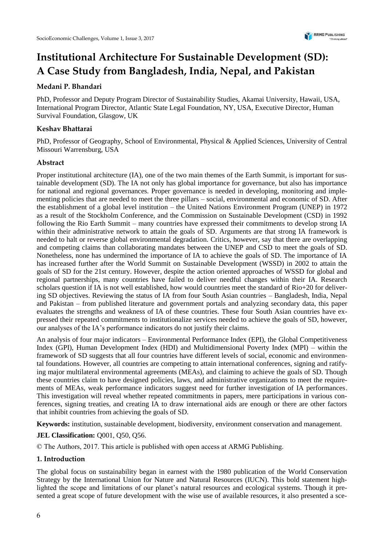# **Institutional Architecture For Sustainable Development (SD): A Case Study from Bangladesh, India, Nepal, and Pakistan**

# **Medani P. Bhandari**

PhD, Professor and Deputy Program Director of Sustainability Studies, Akamai University, Hawaii, USA, International Program Director, Atlantic State Legal Foundation, NY, USA, Executive Director, Human Survival Foundation, Glasgow, UK

## **Keshav Bhattarai**

PhD, Professor of Geography, School of Environmental, Physical & Applied Sciences, University of Central Missouri Warrensburg, USA

## **Abstract**

Proper institutional architecture (IA), one of the two main themes of the Earth Summit, is important for sustainable development (SD). The IA not only has global importance for governance, but also has importance for national and regional governances. Proper governance is needed in developing, monitoring and implementing policies that are needed to meet the three pillars – social, environmental and economic of SD. After the establishment of a global level institution – the United Nations Environment Program (UNEP) in 1972 as a result of the Stockholm Conference, and the Commission on Sustainable Development (CSD) in 1992 following the Rio Earth Summit – many countries have expressed their commitments to develop strong IA within their administrative network to attain the goals of SD. Arguments are that strong IA framework is needed to halt or reverse global environmental degradation. Critics, however, say that there are overlapping and competing claims than collaborating mandates between the UNEP and CSD to meet the goals of SD. Nonetheless, none has undermined the importance of IA to achieve the goals of SD. The importance of IA has increased further after the World Summit on Sustainable Development (WSSD) in 2002 to attain the goals of SD for the 21st century. However, despite the action oriented approaches of WSSD for global and regional partnerships, many countries have failed to deliver needful changes within their IA. Research scholars question if IA is not well established, how would countries meet the standard of Rio+20 for delivering SD objectives. Reviewing the status of IA from four South Asian countries – Bangladesh, India, Nepal and Pakistan – from published literature and government portals and analyzing secondary data, this paper evaluates the strengths and weakness of IA of these countries. These four South Asian countries have expressed their repeated commitments to institutionalize services needed to achieve the goals of SD, however, our analyses of the IA's performance indicators do not justify their claims.

An analysis of four major indicators – Environmental Performance Index (EPI), the Global Competitiveness Index (GPI), Human Development Index (HDI) and Multidimensional Poverty Index (MPI) – within the framework of SD suggests that all four countries have different levels of social, economic and environmental foundations. However, all countries are competing to attain international conferences, signing and ratifying major multilateral environmental agreements (MEAs), and claiming to achieve the goals of SD. Though these countries claim to have designed policies, laws, and administrative organizations to meet the requirements of MEAs, weak performance indicators suggest need for further investigation of IA performances. This investigation will reveal whether repeated commitments in papers, mere participations in various conferences, signing treaties, and creating IA to draw international aids are enough or there are other factors that inhibit countries from achieving the goals of SD.

**Keywords:** institution, sustainable development, biodiversity, environment conservation and management.

**JEL Classification:** Q001, Q50, Q56.

© The Authors, 2017. This article is published with open access at ARMG Publishing.

## **1. Introduction**

The global focus on sustainability began in earnest with the 1980 publication of the World Conservation Strategy by the International Union for Nature and Natural Resources (IUCN). This bold statement highlighted the scope and limitations of our planet's natural resources and ecological systems. Though it presented a great scope of future development with the wise use of available resources, it also presented a sce-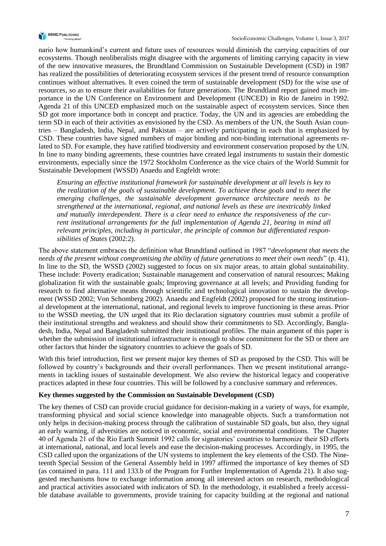

nario how humankind's current and future uses of resources would diminish the carrying capacities of our ecosystems. Though neoliberalists might disagree with the arguments of limiting carrying capacity in view of the new innovative measures, the Brundtland Commission on Sustainable Development (CSD) in 1987 has realized the possibilities of deteriorating ecosystem services if the present trend of resource consumption continues without alternatives. It even coined the term of sustainable development (SD) for the wise use of resources, so as to ensure their availabilities for future generations. The Brundtland report gained much importance in the UN Conference on Environment and Development (UNCED) in Rio de Janeiro in 1992. Agenda 21 of this UNCED emphasized much on the sustainable aspect of ecosystem services. Since then SD got more importance both in concept and practice. Today, the UN and its agencies are embedding the term SD in each of their activities as envisioned by the CSD. As members of the UN, the South Asian countries – Bangladesh, India, Nepal, and Pakistan – are actively participating in each that is emphasized by CSD. These countries have signed numbers of major binding and non-binding international agreements related to SD. For example, they have ratified biodiversity and environment conservation proposed by the UN. In line to many binding agreements, these countries have created legal instruments to sustain their domestic environments, especially since the 1972 Stockholm Conference as the vice chairs of the World Summit for Sustainable Development (WSSD) Anaedu and Engfeldt wrote:

*Ensuring an effective institutional framework for sustainable development at all levels is key to the realization of the goals of sustainable development. To achieve these goals and to meet the emerging challenges, the sustainable development governance architecture needs to be strengthened at the international, regional, and national levels as these are inextricably linked and mutually interdependent. There is a clear need to enhance the responsiveness of the current institutional arrangements for the full implementation of Agenda 21, bearing in mind all relevant principles, including in particular, the principle of common but differentiated responsibilities of States* (2002:2).

The above statement embraces the definition what Brundtland outlined in 1987 "*development that meets the needs of the present without compromising the ability of future generations to meet their own needs*" (p. 41). In line to the SD, the WSSD (2002) suggested to focus on six major areas, to attain global sustainability. These include: Poverty eradication; Sustainable management and conservation of natural resources; Making globalization fit with the sustainable goals; Improving governance at all levels; and Providing funding for research to find alternative means through scientific and technological innovation to sustain the development (WSSD 2002; Von Schomberg 2002). Anaedu and Engfeldt (2002) proposed for the strong institutional development at the international, national, and regional levels to improve functioning in these areas. Prior to the WSSD meeting, the UN urged that its Rio declaration signatory countries must submit a profile of their institutional strengths and weakness and should show their commitments to SD. Accordingly, Bangladesh, India, Nepal and Bangladesh submitted their institutional profiles. The main argument of this paper is whether the submission of institutional infrastructure is enough to show commitment for the SD or there are other factors that hinder the signatory countries to achieve the goals of SD.

With this brief introduction, first we present major key themes of SD as proposed by the CSD. This will be followed by country's backgrounds and their overall performances. Then we present institutional arrangements in tackling issues of sustainable development. We also review the historical legacy and cooperative practices adapted in these four countries. This will be followed by a conclusive summary and references.

#### **Key themes suggested by the Commission on Sustainable Development (CSD)**

The key themes of CSD can provide crucial guidance for decision-making in a variety of ways, for example, transforming physical and social science knowledge into manageable objects. Such a transformation not only helps in decision-making process through the calibration of sustainable SD goals, but also, they signal an early warning, if adversities are noticed in economic, social and environmental conditions. The Chapter 40 of Agenda 21 of the Rio Earth Summit 1992 calls for signatories' countries to harmonize their SD efforts at international, national, and local levels and ease the decision-making processes. Accordingly, in 1995, the CSD called upon the organizations of the UN systems to implement the key elements of the CSD. The Nineteenth Special Session of the General Assembly held in 1997 affirmed the importance of key themes of SD (as contained in para. 111 and 133.b of the Program for Further Implementation of Agenda 21). It also suggested mechanisms how to exchange information among all interested actors on research, methodological and practical activities associated with indicators of SD. In the methodology, it established a freely accessible database available to governments, provide training for capacity building at the regional and national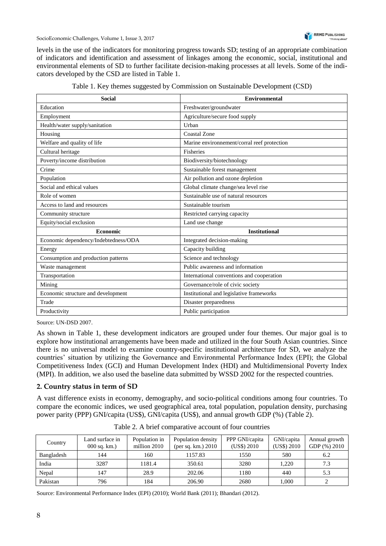levels in the use of the indicators for monitoring progress towards SD; testing of an appropriate combination of indicators and identification and assessment of linkages among the economic, social, institutional and environmental elements of SD to further facilitate decision-making processes at all levels. Some of the indicators developed by the CSD are listed in Table 1.

| <b>Social</b>                        | <b>Environmental</b>                        |
|--------------------------------------|---------------------------------------------|
| Education                            | Freshwater/groundwater                      |
| Employment                           | Agriculture/secure food supply              |
| Health/water supply/sanitation       | Urban                                       |
| Housing                              | Coastal Zone                                |
| Welfare and quality of life          | Marine environnement/corral reef protection |
| Cultural heritage                    | Fisheries                                   |
| Poverty/income distribution          | Biodiversity/biotechnology                  |
| Crime                                | Sustainable forest management               |
| Population                           | Air pollution and ozone depletion           |
| Social and ethical values            | Global climate change/sea level rise        |
| Role of women                        | Sustainable use of natural resources        |
| Access to land and resources         | Sustainable tourism                         |
| Community structure                  | Restricted carrying capacity                |
| Equity/social exclusion              | Land use change                             |
| Economic                             | <b>Institutional</b>                        |
| Economic dependency/Indebtedness/ODA | Integrated decision-making                  |
| Energy                               | Capacity building                           |
| Consumption and production patterns  | Science and technology                      |
| Waste management                     | Public awareness and information            |
| Transportation                       | International conventions and cooperation   |
| Mining                               | Governance/role of civic society            |
| Economic structure and development   | Institutional and legislative frameworks    |
| Trade                                | Disaster preparedness                       |
| Productivity                         | Public participation                        |

|  |  | Table 1. Key themes suggested by Commission on Sustainable Development (CSD) |  |
|--|--|------------------------------------------------------------------------------|--|
|  |  |                                                                              |  |

Source: UN-DSD 2007.

As shown in Table 1, these development indicators are grouped under four themes. Our major goal is to explore how institutional arrangements have been made and utilized in the four South Asian countries. Since there is no universal model to examine country-specific institutional architecture for SD, we analyze the countries' situation by utilizing the Governance and Environmental Performance Index (EPI); the Global Competitiveness Index (GCI) and Human Development Index (HDI) and Multidimensional Poverty Index (MPI). In addition, we also used the baseline data submitted by WSSD 2002 for the respected countries.

#### **2. Country status in term of SD**

A vast difference exists in economy, demography, and socio-political conditions among four countries. To compare the economic indices, we used geographical area, total population, population density, purchasing power parity (PPP) GNI/capita (US\$), GNI/capita (US\$), and annual growth GDP (%) (Table 2).

| Country    | Land surface in<br>$000$ sq. km.) | Population in<br>million 2010 | Population density<br>(per sq. km.) $2010$ | PPP GNI/capita<br>(US\$) 2010 | GNI/capita<br>(US\$) 2010 | Annual growth<br>GDP (%) 2010 |
|------------|-----------------------------------|-------------------------------|--------------------------------------------|-------------------------------|---------------------------|-------------------------------|
| Bangladesh | 144                               | 160                           | 1157.83                                    | 1550                          | 580                       | 6.2                           |
| India      | 3287                              | 1181.4                        | 350.61                                     | 3280                          | 1.220                     | 7.3                           |
| Nepal      | 147                               | 28.9                          | 202.06                                     | 1180                          | 440                       | 5.3                           |
| Pakistan   | 796                               | 184                           | 206.90                                     | 2680                          | .000                      |                               |

Table 2. A brief comparative account of four countries

Source: Environmental Performance Index (EPI) (2010); World Bank (2011); Bhandari (2012).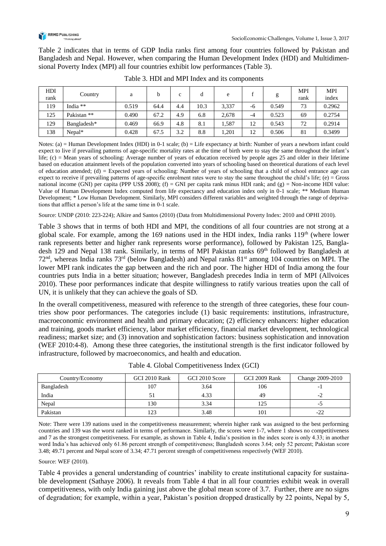

Table 2 indicates that in terms of GDP India ranks first among four countries followed by Pakistan and Bangladesh and Nepal. However, when comparing the Human Development Index (HDI) and Multidimensional Poverty Index (MPI) all four countries exhibit low performances (Table 3).

| HDI<br>rank | Country      | a     |      | $\mathbf{c}$ | d    | e     |      | g     | <b>MPI</b><br>rank | <b>MPI</b><br>index |
|-------------|--------------|-------|------|--------------|------|-------|------|-------|--------------------|---------------------|
| 119         | India $**$   | 0.519 | 64.4 | 4.4          | 10.3 | 3,337 | -6   | 0.549 | 73                 | 0.2962              |
| 125         | Pakistan **  | 0.490 | 67.2 | 4.9          | 6.8  | 2,678 | $-4$ | 0.523 | 69                 | 0.2754              |
| 129         | Bangladesh*  | 0.469 | 66.9 | 4.8          | 8.1  | .587  | 12   | 0.543 | 72                 | 0.2914              |
| 138         | $N$ epal $*$ | 0.428 | 67.5 | 3.2          | 8.8  | .201  | 12   | 0.506 | 81                 | 0.3499              |

Table 3. HDI and MPI Index and its components

Notes: (a) = Human Development Index (HDI) in 0-1 scale; (b) = Life expectancy at birth: Number of years a newborn infant could expect to live if prevailing patterns of age-specific mortality rates at the time of birth were to stay the same throughout the infant's life; (c) = Mean years of schooling: Average number of years of education received by people ages 25 and older in their lifetime based on education attainment levels of the population converted into years of schooling based on theoretical durations of each level of education attended; (d)  $=$  Expected years of schooling: Number of years of schooling that a child of school entrance age can expect to receive if prevailing patterns of age-specific enrolment rates were to stay the same throughout the child's life; (e) = Gross national income (GNI) per capita (PPP US\$ 2008); (f) = GNI per capita rank minus HDI rank; and (g) = Non-income HDI value: Value of Human Development Index computed from life expectancy and education index only in 0-1 scale; \*\* Medium Human Development; \* Low Human Development. Similarly, MPI considers different variables and weighted through the range of deprivations that afflict a person's life at the same time in 0-1 scale.

Source: UNDP (2010: 223-224); Alkire and Santos (2010) (Data from Multidimensional Poverty Index: 2010 and OPHI 2010)*.*

Table 3 shows that in terms of both HDI and MPI, the conditions of all four countries are not strong at a global scale. For example, among the 169 nations used in the HDI index, India ranks  $119<sup>th</sup>$  (where lower rank represents better and higher rank represents worse performance), followed by Pakistan 125, Bangladesh 129 and Nepal 138 rank. Similarly, in terms of MPI Pakistan ranks 69<sup>th</sup> followed by Bangladesh at  $72<sup>nd</sup>$ , whereas India ranks  $73<sup>rd</sup>$  (below Bangladesh) and Nepal ranks  $81<sup>st</sup>$  among 104 countries on MPI. The lower MPI rank indicates the gap between and the rich and poor. The higher HDI of India among the four countries puts India in a better situation; however, Bangladesh precedes India in term of MPI (Allvoices 2010). These poor performances indicate that despite willingness to ratify various treaties upon the call of UN, it is unlikely that they can achieve the goals of SD.

In the overall competitiveness, measured with reference to the strength of three categories, these four countries show poor performances. The categories include (1) basic requirements: institutions, infrastructure, macroeconomic environment and health and primary education; (2) efficiency enhancers: higher education and training, goods market efficiency, labor market efficiency, financial market development, technological readiness; market size; and (3) innovation and sophistication factors: business sophistication and innovation (WEF 2010:4-8). Among these three categories, the institutional strength is the first indicator followed by infrastructure, followed by macroeconomics, and health and education.

| Country/Economy | GCI 2010 Rank | GCI 2010 Score | GCI 2009 Rank | Change 2009-2010 |
|-----------------|---------------|----------------|---------------|------------------|
| Bangladesh      | 107           | 3.64           | 106           |                  |
| India           |               | 4.33           | 49            |                  |
| Nepal           | 130           | 3.34           | 125           | - 1              |
| Pakistan        | 1つつ           | 3.48           | 101           | າາ<br>$-L$       |

Table 4. Global Competitiveness Index (GCI)

Note: There were 139 nations used in the competitiveness measurement; wherein higher rank was assigned to the best performing countries and 139 was the worst ranked in terms of performance. Similarly, the scores were 1-7, where 1 shows no competitiveness and 7 as the strongest competitiveness. For example, as shown in Table 4, India's position in the index score is only 4.33; in another word India's has achieved only 61.86 percent strength of competitiveness; Bangladesh scores 3.64; only 52 percent; Pakistan score 3.48; 49.71 percent and Nepal score of 3.34; 47.71 percent strength of competitiveness respectively (WEF 2010).

Source: WEF (2010).

Table 4 provides a general understanding of countries' inability to create institutional capacity for sustainable development (Sathaye 2006). It reveals from Table 4 that in all four countries exhibit weak in overall competitiveness, with only India gaining just above the global mean score of 3.7. Further, there are no signs of degradation; for example, within a year, Pakistan's position dropped drastically by 22 points, Nepal by 5,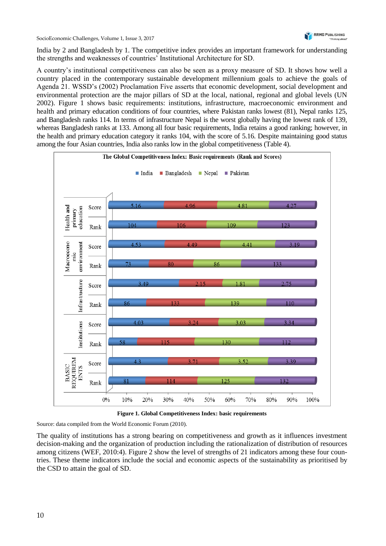India by 2 and Bangladesh by 1. The competitive index provides an important framework for understanding the strengths and weaknesses of countries' Institutional Architecture for SD.

A country's institutional competitiveness can also be seen as a proxy measure of SD. It shows how well a country placed in the contemporary sustainable development millennium goals to achieve the goals of Agenda 21. WSSD's (2002) Proclamation Five asserts that economic development, social development and environmental protection are the major pillars of SD at the local, national, regional and global levels (UN 2002). Figure 1 shows basic requirements: institutions, infrastructure, macroeconomic environment and health and primary education conditions of four countries, where Pakistan ranks lowest (81), Nepal ranks 125, and Bangladesh ranks 114. In terms of infrastructure Nepal is the worst globally having the lowest rank of 139, whereas Bangladesh ranks at 133. Among all four basic requirements, India retains a good ranking; however, in the health and primary education category it ranks 104, with the score of 5.16. Despite maintaining good status among the four Asian countries, India also ranks low in the global competitiveness (Table 4).



**Figure 1. Global Competitiveness Index: basic requirements**

Source: data compiled from the World Economic Forum (2010).

The quality of institutions has a strong bearing on competitiveness and growth as it influences investment decision-making and the organization of production including the rationalization of distribution of resources among citizens (WEF, 2010:4). Figure 2 show the level of strengths of 21 indicators among these four countries. These theme indicators include the social and economic aspects of the sustainability as prioritised by the CSD to attain the goal of SD.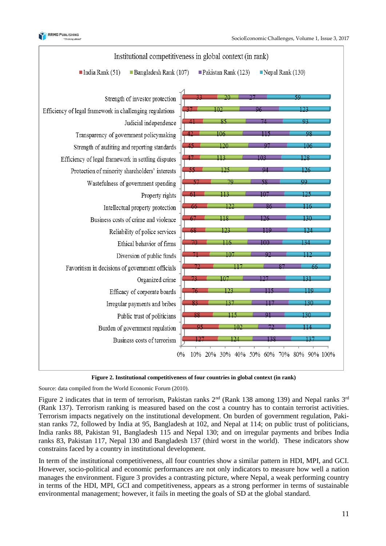





Source: data compiled from the World Economic Forum (2010).

Figure 2 indicates that in term of terrorism, Pakistan ranks  $2<sup>nd</sup>$  (Rank 138 among 139) and Nepal ranks  $3<sup>rd</sup>$ (Rank 137). Terrorism ranking is measured based on the cost a country has to contain terrorist activities. Terrorism impacts negatively on the institutional development. On burden of government regulation, Pakistan ranks 72, followed by India at 95, Bangladesh at 102, and Nepal at 114; on public trust of politicians, India ranks 88, Pakistan 91, Bangladesh 115 and Nepal 130; and on irregular payments and bribes India ranks 83, Pakistan 117, Nepal 130 and Bangladesh 137 (third worst in the world). These indicators show constrains faced by a country in institutional development.

In term of the institutional competitiveness, all four countries show a similar pattern in HDI, MPI, and GCI. However, socio-political and economic performances are not only indicators to measure how well a nation manages the environment. Figure 3 provides a contrasting picture, where Nepal, a weak performing country in terms of the HDI, MPI, GCI and competitiveness, appears as a strong performer in terms of sustainable environmental management; however, it fails in meeting the goals of SD at the global standard.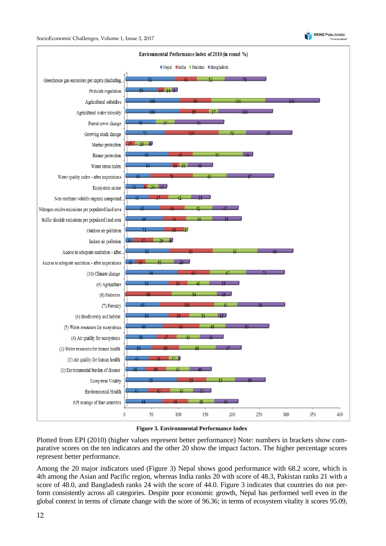



#### **Figure 3. Environmental Performance Index**

Plotted from EPI (2010) (higher values represent better performance) Note: numbers in brackets show comparative scores on the ten indicators and the other 20 show the impact factors. The higher percentage scores represent better performance.

Among the 20 major indicators used (Figure 3) Nepal shows good performance with 68.2 score, which is 4th among the Asian and Pacific region, whereas India ranks 20 with score of 48.3, Pakistan ranks 21 with a score of 48.0, and Bangladesh ranks 24 with the score of 44.0. Figure 3 indicates that countries do not perform consistently across all categories. Despite poor economic growth, Nepal has performed well even in the global context in terms of climate change with the score of 96.36; in terms of ecosystem vitality it scores 95.09,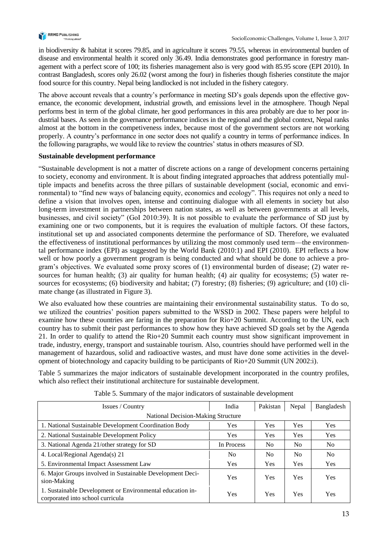

in biodiversity & habitat it scores 79.85, and in agriculture it scores 79.55, whereas in environmental burden of disease and environmental health it scored only 36.49. India demonstrates good performance in forestry management with a perfect score of 100; its fisheries management also is very good with 85.95 score (EPI 2010). In contrast Bangladesh, scores only 26.02 (worst among the four) in fisheries though fisheries constitute the major food source for this country. Nepal being landlocked is not included in the fishery category.

The above account reveals that a country's performance in meeting SD's goals depends upon the effective governance, the economic development, industrial growth, and emissions level in the atmosphere. Though Nepal performs best in term of the global climate, her good performances in this area probably are due to her poor industrial bases. As seen in the governance performance indices in the regional and the global context, Nepal ranks almost at the bottom in the competiveness index, because most of the government sectors are not working properly. A country's performance in one sector does not qualify a country in terms of performance indices. In the following paragraphs, we would like to review the countries' status in others measures of SD.

## **Sustainable development performance**

"Sustainable development is not a matter of discrete actions on a range of development concerns pertaining to society, economy and environment. It is about finding integrated approaches that address potentially multiple impacts and benefits across the three pillars of sustainable development (social, economic and environmental) to "find new ways of balancing equity, economics and ecology". This requires not only a need to define a vision that involves open, intense and continuing dialogue with all elements in society but also long-term investment in partnerships between nation states, as well as between governments at all levels, businesses, and civil society" (GoI 2010:39). It is not possible to evaluate the performance of SD just by examining one or two components, but it is requires the evaluation of multiple factors. Of these factors, institutional set up and associated components determine the performance of SD. Therefore, we evaluated the effectiveness of institutional performances by utilizing the most commonly used term—the environmental performance index (EPI) as suggested by the World Bank (2010:1) and EPI (2010). EPI reflects a how well or how poorly a government program is being conducted and what should be done to achieve a program's objectives. We evaluated some proxy scores of (1) environmental burden of disease; (2) water resources for human health; (3) air quality for human health; (4) air quality for ecosystems; (5) water resources for ecosystems; (6) biodiversity and habitat; (7) forestry; (8) fisheries; (9) agriculture; and (10) climate change (as illustrated in Figure 3).

We also evaluated how these countries are maintaining their environmental sustainability status. To do so, we utilized the countries' position papers submitted to the WSSD in 2002. These papers were helpful to examine how these countries are faring in the preparation for Rio+20 Summit. According to the UN, each country has to submit their past performances to show how they have achieved SD goals set by the Agenda 21. In order to qualify to attend the Rio+20 Summit each country must show significant improvement in trade, industry, energy, transport and sustainable tourism. Also, countries should have performed well in the management of hazardous, solid and radioactive wastes, and must have done some activities in the development of biotechnology and capacity building to be participants of Rio+20 Summit (UN 2002:i).

Table 5 summarizes the major indicators of sustainable development incorporated in the country profiles, which also reflect their institutional architecture for sustainable development.

| Issues / Country                                                                              | India          | Pakistan       | Nepal          | Bangladesh     |
|-----------------------------------------------------------------------------------------------|----------------|----------------|----------------|----------------|
| <b>National Decision-Making Structure</b>                                                     |                |                |                |                |
| 1. National Sustainable Development Coordination Body                                         | <b>Yes</b>     | <b>Yes</b>     | Yes            | <b>Yes</b>     |
| 2. National Sustainable Development Policy                                                    | <b>Yes</b>     | <b>Yes</b>     | <b>Yes</b>     | <b>Yes</b>     |
| 3. National Agenda 21/other strategy for SD                                                   | In Process     | N <sub>0</sub> | N <sub>0</sub> | N <sub>0</sub> |
| 4. Local/Regional Agenda(s) 21                                                                | N <sub>0</sub> | N <sub>0</sub> | N <sub>0</sub> | N <sub>0</sub> |
| 5. Environmental Impact Assessment Law                                                        | <b>Yes</b>     | Yes            | Yes            | Yes            |
| 6. Major Groups involved in Sustainable Development Deci-<br>sion-Making                      | <b>Yes</b>     | <b>Yes</b>     | Yes            | Yes            |
| 1. Sustainable Development or Environmental education in-<br>corporated into school curricula | <b>Yes</b>     | <b>Yes</b>     | Yes            | Yes            |

|  |  |  | Table 5. Summary of the major indicators of sustainable development |  |
|--|--|--|---------------------------------------------------------------------|--|
|  |  |  |                                                                     |  |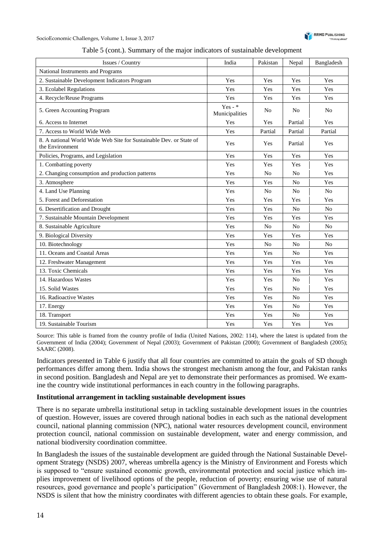

| Issues / Country                                                                      | India                       | Pakistan       | Nepal          | Bangladesh     |
|---------------------------------------------------------------------------------------|-----------------------------|----------------|----------------|----------------|
| National Instruments and Programs                                                     |                             |                |                |                |
| 2. Sustainable Development Indicators Program                                         | Yes                         | Yes            | Yes            | Yes            |
| 3. Ecolabel Regulations                                                               | Yes                         | Yes            | Yes            | Yes            |
| 4. Recycle/Reuse Programs                                                             | Yes                         | Yes            | Yes            | Yes            |
| 5. Green Accounting Program                                                           | Yes - $*$<br>Municipalities | N <sub>o</sub> | N <sub>0</sub> | N <sub>o</sub> |
| 6. Access to Internet                                                                 | Yes                         | Yes            | Partial        | Yes            |
| 7. Access to World Wide Web                                                           | Yes                         | Partial        | Partial        | Partial        |
| 8. A national World Wide Web Site for Sustainable Dev. or State of<br>the Environment | Yes                         | Yes            | Partial        | Yes            |
| Policies, Programs, and Legislation                                                   | Yes                         | Yes            | Yes            | Yes            |
| 1. Combatting poverty                                                                 | Yes                         | Yes            | Yes            | Yes            |
| 2. Changing consumption and production patterns                                       | Yes                         | N <sub>o</sub> | N <sub>0</sub> | Yes            |
| 3. Atmosphere                                                                         | Yes                         | Yes            | N <sub>0</sub> | Yes            |
| 4. Land Use Planning                                                                  | Yes                         | N <sub>o</sub> | N <sub>0</sub> | N <sub>0</sub> |
| 5. Forest and Deforestation                                                           | Yes                         | Yes            | Yes            | Yes            |
| 6. Desertification and Drought                                                        | Yes                         | Yes            | N <sub>0</sub> | N <sub>o</sub> |
| 7. Sustainable Mountain Development                                                   | Yes                         | Yes            | Yes            | Yes            |
| 8. Sustainable Agriculture                                                            | Yes                         | N <sub>o</sub> | N <sub>0</sub> | N <sub>0</sub> |
| 9. Biological Diversity                                                               | Yes                         | Yes            | Yes            | Yes            |
| 10. Biotechnology                                                                     | Yes                         | N <sub>0</sub> | N <sub>0</sub> | No             |
| 11. Oceans and Coastal Areas                                                          | Yes                         | Yes            | N <sub>0</sub> | Yes            |
| 12. Freshwater Management                                                             | Yes                         | Yes            | Yes            | Yes            |
| 13. Toxic Chemicals                                                                   | Yes                         | Yes            | Yes            | Yes            |
| 14. Hazardous Wastes                                                                  | Yes                         | Yes            | N <sub>0</sub> | Yes            |
| 15. Solid Wastes                                                                      | Yes                         | Yes            | N <sub>0</sub> | Yes            |
| 16. Radioactive Wastes                                                                | Yes                         | Yes            | N <sub>0</sub> | Yes            |
| 17. Energy                                                                            | Yes                         | Yes            | N <sub>0</sub> | Yes            |
| 18. Transport                                                                         | Yes                         | Yes            | N <sub>0</sub> | Yes            |
| 19. Sustainable Tourism                                                               | Yes                         | Yes            | Yes            | Yes            |

Table 5 (cont.). Summary of the major indicators of sustainable development

Source: This table is framed from the country profile of India (United Nations, 2002: 114), where the latest is updated from the Government of India (2004); Government of Nepal (2003); Government of Pakistan (2000); Government of Bangladesh (2005); SAARC (2008).

Indicators presented in Table 6 justify that all four countries are committed to attain the goals of SD though performances differ among them. India shows the strongest mechanism among the four, and Pakistan ranks in second position. Bangladesh and Nepal are yet to demonstrate their performances as promised. We examine the country wide institutional performances in each country in the following paragraphs.

#### **Institutional arrangement in tackling sustainable development issues**

There is no separate umbrella institutional setup in tackling sustainable development issues in the countries of question. However, issues are covered through national bodies in each such as the national development council, national planning commission (NPC), national water resources development council, environment protection council, national commission on sustainable development, water and energy commission, and national biodiversity coordination committee.

In Bangladesh the issues of the sustainable development are guided through the National Sustainable Development Strategy (NSDS) 2007, whereas umbrella agency is the Ministry of Environment and Forests which is supposed to "ensure sustained economic growth, environmental protection and social justice which implies improvement of livelihood options of the people, reduction of poverty; ensuring wise use of natural resources, good governance and people's participation" (Government of Bangladesh 2008:1). However, the NSDS is silent that how the ministry coordinates with different agencies to obtain these goals. For example,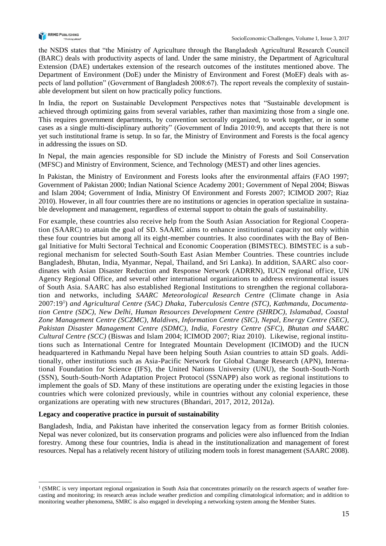

the NSDS states that "the Ministry of Agriculture through the Bangladesh Agricultural Research Council (BARC) deals with productivity aspects of land. Under the same ministry, the Department of Agricultural Extension (DAE) undertakes extension of the research outcomes of the institutes mentioned above. The Department of Environment (DoE) under the Ministry of Environment and Forest (MoEF) deals with aspects of land pollution" (Government of Bangladesh 2008:67). The report reveals the complexity of sustainable development but silent on how practically policy functions.

In India, the report on Sustainable Development Perspectives notes that "Sustainable development is achieved through optimizing gains from several variables, rather than maximizing those from a single one. This requires government departments, by convention sectorally organized, to work together, or in some cases as a single multi-disciplinary authority" (Government of India 2010:9), and accepts that there is not yet such institutional frame is setup. In so far, the Ministry of Environment and Forests is the focal agency in addressing the issues on SD.

In Nepal, the main agencies responsible for SD include the Ministry of Forests and Soil Conservation (MFSC) and Ministry of Environment, Science, and Technology (MEST) and other lines agencies.

In Pakistan, the Ministry of Environment and Forests looks after the environmental affairs (FAO 1997; Government of Pakistan 2000; Indian National Science Academy 2001; Government of Nepal 2004; Biswas and Islam 2004; Government of India, Ministry Of Environment and Forests 2007; ICIMOD 2007; Riaz 2010). However, in all four countries there are no institutions or agencies in operation specialize in sustainable development and management, regardless of external support to obtain the goals of sustainability.

For example, these countries also receive help from the South Asian Association for Regional Cooperation (SAARC) to attain the goal of SD. SAARC aims to enhance institutional capacity not only within these four countries but among all its eight-member countries. It also coordinates with the Bay of Bengal Initiative for Multi Sectoral Technical and Economic Cooperation (BIMSTEC). BIMSTEC is a sub regional mechanism for selected South-South East Asian Member Countries. These countries include Bangladesh, Bhutan, India, Myanmar, Nepal, Thailand, and Sri Lanka). In addition, SAARC also coordinates with Asian Disaster Reduction and Response Network (ADRRN), IUCN regional office, UN Agency Regional Office, and several other international organizations to address environmental issues of South Asia. SAARC has also established Regional Institutions to strengthen the regional collaboration and networks, including *SAARC Meteorological Research Centre* (Climate change in Asia 2007:19<sup>1</sup>) and Agricultural Centre (SAC) Dhaka, Tuberculosis Centre (STC), Kathmandu, Documenta*tion Centre (SDC), New Delhi, Human Resources Development Centre (SHRDC), Islamabad, Coastal Zone Management Centre (SCZMC), Maldives, Information Centre (SIC), Nepal, Energy Centre (SEC), Pakistan Disaster Management Centre (SDMC), India, Forestry Centre (SFC), Bhutan and SAARC Cultural Centre (SCC)* (Biswas and Islam 2004; ICIMOD 2007; Riaz 2010). Likewise, regional institutions such as International Centre for Integrated Mountain Development (ICIMOD) and the IUCN headquartered in Kathmandu Nepal have been helping South Asian countries to attain SD goals. Additionally, other institutions such as Asia-Pacific Network for Global Change Research (APN), International Foundation for Science (IFS), the United Nations University (UNU), the South-South-North (SSN), South-South-North Adaptation Project Protocol (SSNAPP) also work as regional institutions to implement the goals of SD. Many of these institutions are operating under the existing legacies in those countries which were colonized previously, while in countries without any colonial experience, these organizations are operating with new structures (Bhandari, 2017, 2012, 2012a).

#### **Legacy and cooperative practice in pursuit of sustainability**

l

Bangladesh, India, and Pakistan have inherited the conservation legacy from as former British colonies. Nepal was never colonized, but its conservation programs and policies were also influenced from the Indian forestry. Among these four countries, India is ahead in the institutionalization and management of forest resources. Nepal has a relatively recent history of utilizing modern tools in forest management (SAARC 2008).

<sup>&</sup>lt;sup>1</sup> (SMRC is very important regional organization in South Asia that concentrates primarily on the research aspects of weather forecasting and monitoring; its research areas include weather prediction and compiling climatological information; and in addition to monitoring weather phenomena, SMRC is also engaged in developing a networking system among the Member States.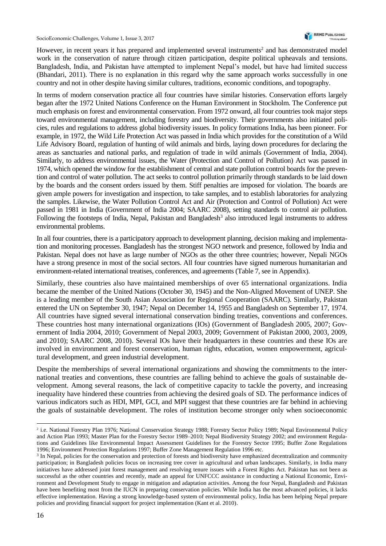However, in recent years it has prepared and implemented several instruments<sup>2</sup> and has demonstrated model work in the conservation of nature through citizen participation, despite political upheavals and tensions. Bangladesh, India, and Pakistan have attempted to implement Nepal's model, but have had limited success (Bhandari, 2011). There is no explanation in this regard why the same approach works successfully in one country and not in other despite having similar cultures, traditions, economic conditions, and topography.

In terms of modern conservation practice all four countries have similar histories. Conservation efforts largely began after the 1972 United Nations Conference on the Human Environment in Stockholm. The Conference put much emphasis on forest and environmental conservation. From 1972 onward, all four countries took major steps toward environmental management, including forestry and biodiversity. Their governments also initiated policies, rules and regulations to address global biodiversity issues. In policy formations India, has been pioneer. For example, in 1972, the Wild Life Protection Act was passed in India which provides for the constitution of a Wild Life Advisory Board, regulation of hunting of wild animals and birds, laying down procedures for declaring the areas as sanctuaries and national parks, and regulation of trade in wild animals (Government of India, 2004). Similarly, to address environmental issues, the Water (Protection and Control of Pollution) Act was passed in 1974, which opened the window for the establishment of central and state pollution control boards for the prevention and control of water pollution. The act seeks to control pollution primarily through standards to be laid down by the boards and the consent orders issued by them. Stiff penalties are imposed for violation. The boards are given ample powers for investigation and inspection, to take samples, and to establish laboratories for analyzing the samples. Likewise, the Water Pollution Control Act and Air (Protection and Control of Pollution) Act were passed in 1981 in India (Government of India 2004; SAARC 2008), setting standards to control air pollution. Following the footsteps of India, Nepal, Pakistan and Bangladesh<sup>3</sup> also introduced legal instruments to address environmental problems.

In all four countries, there is a participatory approach to development planning, decision making and implementation and monitoring processes. Bangladesh has the strongest NGO network and presence, followed by India and Pakistan. Nepal does not have as large number of NGOs as the other three countries; however, Nepali NGOs have a strong presence in most of the social sectors. All four countries have signed numerous humanitarian and environment-related international treatises, conferences, and agreements (Table 7, see in Appendix).

Similarly, these countries also have maintained memberships of over 65 international organizations. India became the member of the United Nations (October 30, 1945) and the Non-Aligned Movement of UNEP. She is a leading member of the South Asian Association for Regional Cooperation (SAARC). Similarly, Pakistan entered the UN on September 30, 1947; Nepal on December 14, 1955 and Bangladesh on September 17, 1974. All countries have signed several international conservation binding treaties, conventions and conferences. These countries host many international organizations (IOs) (Government of Bangladesh 2005, 2007; Government of India 2004, 2010; Government of Nepal 2003, 2009; Government of Pakistan 2000, 2003, 2009, and 2010); SAARC 2008, 2010). Several IOs have their headquarters in these countries and these IOs are involved in environment and forest conservation, human rights, education, women empowerment, agricultural development, and green industrial development.

Despite the memberships of several international organizations and showing the commitments to the international treaties and conventions, these countries are falling behind to achieve the goals of sustainable development. Among several reasons, the lack of competitive capacity to tackle the poverty, and increasing inequality have hindered these countries from achieving the desired goals of SD. The performance indices of various indicators such as HDI, MPI, GCI, and MPI suggest that these countries are far behind in achieving the goals of sustainable development. The roles of institution become stronger only when socioeconomic

-

<sup>&</sup>lt;sup>2</sup> i.e. National Forestry Plan 1976; National Conservation Strategy 1988; Forestry Sector Policy 1989; Nepal Environmental Policy and Action Plan 1993; Master Plan for the Forestry Sector 1989–2010; Nepal Biodiversity Strategy 2002; and environment Regulations and Guidelines like Environmental Impact Assessment Guidelines for the Forestry Sector 1995; Buffer Zone Regulations 1996; Environment Protection Regulations 1997; Buffer Zone Management Regulation 1996 etc.

<sup>&</sup>lt;sup>3</sup> In Nepal, policies for the conservation and protection of forests and biodiversity have emphasized decentralization and community participation; in Bangladesh policies focus on increasing tree cover in agricultural and urban landscapes. Similarly, in India many initiatives have addressed joint forest management and resolving tenure issues with a Forest Rights Act. Pakistan has not been as successful as the other countries and recently, made an appeal for UNFCCC assistance in conducting a National Economic, Environment and Development Study to engage in mitigation and adaptation activities. Among the four Nepal, Bangladesh and Pakistan have been benefiting most from the IUCN in preparing conservation policies. While India has the most advanced policies, it lacks effective implementation. Having a strong knowledge-based system of environmental policy, India has been helping Nepal prepare policies and providing financial support for project implementation (Kant et al. 2010).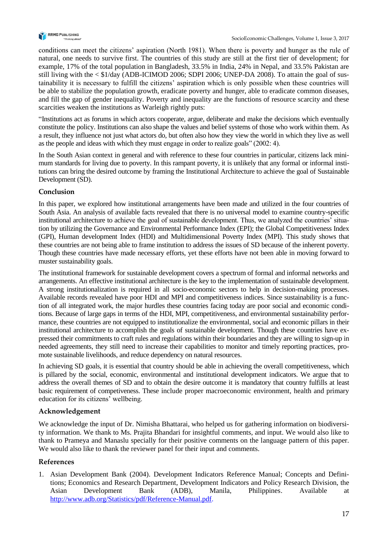

conditions can meet the citizens' aspiration (North 1981). When there is poverty and hunger as the rule of natural, one needs to survive first. The countries of this study are still at the first tier of development; for example, 17% of the total population in Bangladesh, 33.5% in India, 24% in Nepal, and 33.5% Pakistan are still living with the < \$1/day (ADB-ICIMOD 2006; SDPI 2006; UNEP-DA 2008). To attain the goal of sustainability it is necessary to fulfill the citizens' aspiration which is only possible when these countries will be able to stabilize the population growth, eradicate poverty and hunger, able to eradicate common diseases, and fill the gap of gender inequality. Poverty and inequality are the functions of resource scarcity and these scarcities weaken the institutions as Warleigh rightly puts:

"Institutions act as forums in which actors cooperate, argue, deliberate and make the decisions which eventually constitute the policy. Institutions can also shape the values and belief systems of those who work within them. As a result, they influence not just what actors do, but often also how they view the world in which they live as well as the people and ideas with which they must engage in order to realize goals" (2002: 4).

In the South Asian context in general and with reference to these four countries in particular, citizens lack minimum standards for living due to poverty. In this rampant poverty, it is unlikely that any formal or informal institutions can bring the desired outcome by framing the Institutional Architecture to achieve the goal of Sustainable Development (SD).

## **Conclusion**

In this paper, we explored how institutional arrangements have been made and utilized in the four countries of South Asia. An analysis of available facts revealed that there is no universal model to examine country-specific institutional architecture to achieve the goal of sustainable development. Thus, we analyzed the countries' situation by utilizing the Governance and Environmental Performance Index (EPI); the Global Competitiveness Index (GPI), Human development Index (HDI) and Multidimensional Poverty Index (MPI). This study shows that these countries are not being able to frame institution to address the issues of SD because of the inherent poverty. Though these countries have made necessary efforts, yet these efforts have not been able in moving forward to muster sustainability goals.

The institutional framework for sustainable development covers a spectrum of formal and informal networks and arrangements. An effective institutional architecture is the key to the implementation of sustainable development. A strong institutionalization is required in all socio-economic sectors to help in decision-making processes. Available records revealed have poor HDI and MPI and competitiveness indices. Since sustainability is a function of all integrated work, the major hurdles these countries facing today are poor social and economic conditions. Because of large gaps in terms of the HDI, MPI, competitiveness, and environmental sustainability performance, these countries are not equipped to institutionalize the environmental, social and economic pillars in their institutional architecture to accomplish the goals of sustainable development. Though these countries have expressed their commitments to craft rules and regulations within their boundaries and they are willing to sign-up in needed agreements, they still need to increase their capabilities to monitor and timely reporting practices, promote sustainable livelihoods, and reduce dependency on natural resources.

In achieving SD goals, it is essential that country should be able in achieving the overall competitiveness, which is pillared by the social, economic, environmental and institutional development indicators. We argue that to address the overall themes of SD and to obtain the desire outcome it is mandatory that country fulfills at least basic requirement of competiveness. These include proper macroeconomic environment, health and primary education for its citizens' wellbeing.

# **Acknowledgement**

We acknowledge the input of Dr. Nimisha Bhattarai, who helped us for gathering information on biodiversity information. We thank to Ms. Prajita Bhandari for insightful comments, and input. We would also like to thank to Prameya and Manaslu specially for their positive comments on the language pattern of this paper. We would also like to thank the reviewer panel for their input and comments.

# **References**

1. Asian Development Bank (2004). Development Indicators Reference Manual; Concepts and Definitions; Economics and Research Department, Development Indicators and Policy Research Division, the Asian Development Bank (ADB), Manila, Philippines. Available at [http://www.adb.org/Statistics/pdf/Reference-Manual.pdf.](http://www.adb.org/Statistics/pdf/Reference-Manual.pdf)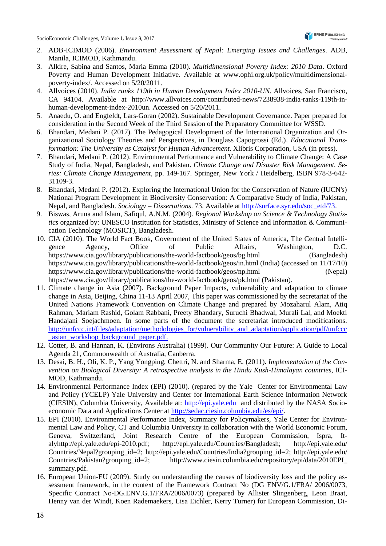- 2. ADB-ICIMOD (2006). *Environment Assessment of Nepal: Emerging Issues and Challenges*. ADB, Manila, ICIMOD, Kathmandu.
- 3. Alkire, Sabina and Santos, Maria Emma (2010). *Multidimensional Poverty Index: 2010 Data*. Oxford Poverty and Human Development Initiative. Available at www.ophi.org.uk/policy/multidimensionalpoverty-index/. Accessed on 5/20/2011.
- 4. Allvoices (2010). *India ranks 119th in Human Development Index 2010-UN*. Allvoices, San Francisco, CA 94104. Available at http://www.allvoices.com/contributed-news/7238938-india-ranks-119th-inhuman-development-index-2010un. Accessed on 5/20/2011.
- 5. Anaedu, O. and Engfeldt, Lars-Goran (2002). Sustainable Development Governance. Paper prepared for consideration in the Second Week of the Third Session of the Preparatory Committee for WSSD.
- 6. Bhandari, Medani P. (2017). The Pedagogical Development of the International Organization and Organizational Sociology Theories and Perspectives, in Douglass Capogrossi (Ed.). *Educational Transformation: The University as Catalyst for Human Advancement. Xlibris Corporation, USA (in press).*
- 7. Bhandari, Medani P. (2012). Environmental Performance and Vulnerability to Climate Change: A Case Study of India, Nepal, Bangladesh, and Pakistan. *Climate Change and Disaster Risk Management. Series: Climate Change Management*, pp. 149-167. Springer, New York / Heidelberg, ISBN 978-3-642- 31109-3.
- 8. Bhandari, Medani P. (2012). Exploring the International Union for the Conservation of Nature (IUCN's) National Program Development in Biodiversity Conservation: A Comparative Study of India, Pakistan, Nepal, and Bangladesh. *Sociology – Dissertations*. 73. Available at [http://surface.syr.edu/soc\\_etd/73.](http://surface.syr.edu/soc_etd/73)
- 9. Biswas, Aruna and Islam, Safiqul, A.N.M. (2004). *Regional Workshop on Science & Technology Statistics* organized by: UNESCO Institution for Statistics, Ministry of Science and Information & Communication Technology (MOSICT), Bangladesh.
- 10. CIA (2010). The World Fact Book, Government of the United States of America, The Central Intelligence Agency, Office of Public Affairs, Washington, D.C. https://www.cia.gov/library/publications/the-world-factbook/geos/bg.html (Bangladesh) https://www.cia.gov/library/publications/the-world-factbook/geos/in.html (India) (accessed on 11/17/10) https://www.cia.gov/library/publications/the-world-factbook/geos/np.html (Nepal) https://www.cia.gov/library/publications/the-world-factbook/geos/pk.html (Pakistan).
- 11. Climate change in Asia (2007). Background Paper Impacts, vulnerability and adaptation to climate change in Asia, Beijing, China 11-13 April 2007, This paper was commissioned by the secretariat of the United Nations Framework Convention on Climate Change and prepared by Mozaharul Alam, Atiq Rahman, Mariam Rashid, Golam Rabbani, Preety Bhandary, Suruchi Bhadwal, Murali Lal, and Moekti Handajani Soejachmoen. In some parts of the document the secretariat introduced modifications. [http://unfccc.int/files/adaptation/methodologies\\_for/vulnerability\\_and\\_adaptation/application/pdf/unfccc](http://unfccc.int/files/adaptation/methodologies_for/vulnerability_and_adaptation/application/pdf/unfccc_asian_workshop_background_paper.pdf) [\\_asian\\_workshop\\_background\\_paper.pdf.](http://unfccc.int/files/adaptation/methodologies_for/vulnerability_and_adaptation/application/pdf/unfccc_asian_workshop_background_paper.pdf)
- 12. Cotter, B. and Hannan, K. (Environs Australia) (1999). Our Community Our Future: A Guide to Local Agenda 21, Commonwealth of Australia, Canberra.
- 13. Desai, B. H., Oli, K. P., Yang Yongping, Chettri, N. and Sharma, E. (2011). *Implementation of the Convention on Biological Diversity: A retrospective analysis in the Hindu Kush-Himalayan countries*, ICI-MOD, Kathmandu.
- 14. Environmental Performance Index (EPI) (2010). (repared by the Yale Center for Environmental Law and Policy (YCELP) Yale University and Center for International Earth Science Information Network (CIESIN), Columbia University, Available at: [http://epi.yale.edu](http://epi.yale.edu/) and distributed by the NASA Socioeconomic Data and Applications Center at [http://sedac.ciesin.columbia.edu/es/epi/.](http://sedac.ciesin.columbia.edu/es/epi/)
- 15. EPI (2010). Environmental Performance Index, Summary for Policymakers, Yale Center for Environmental Law and Policy, CT and Columbia University in collaboration with the World Economic Forum, Geneva, Switzerland, Joint Research Centre of the European Commission, Ispra, Italyhttp://epi.yale.edu/epi-2010.pdf; http://epi.yale.edu/Countries/Bangladesh; http://epi.yale.edu/ Countries/Nepal?grouping\_id=2; http://epi.yale.edu/Countries/India?grouping\_id=2; http://epi.yale.edu/ Countries/Pakistan?grouping\_id=2; http://www.ciesin.columbia.edu/repository/epi/data/2010EPI\_ summary.pdf.
- 16. European Union-EU (2009). Study on understanding the causes of biodiversity loss and the policy assessment framework, in the context of the Framework Contract No (DG ENV/G.1/FRA/ 2006/0073, Specific Contract No-DG.ENV.G.1/FRA/2006/0073) (prepared by Allister Slingenberg, Leon Braat, Henny van der Windt, Koen Rademaekers, Lisa Eichler, Kerry Turner) for European Commission, Di-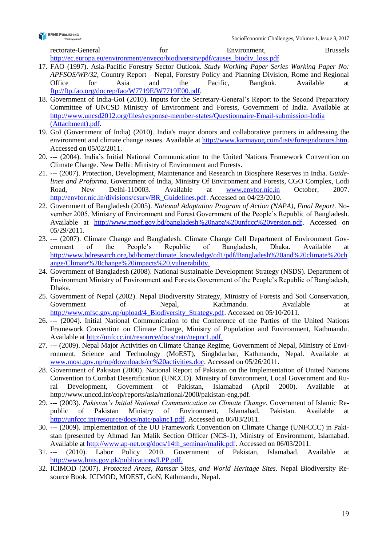

rectorate-General for Environment, Brussels [http://ec.europa.eu/environment/enveco/biodiversity/pdf/causes\\_biodiv\\_loss.pdf](http://ec.europa.eu/environment/enveco/biodiversity/pdf/causes_biodiv_loss.pdf)

- 17. FAO (1997). Asia-Pacific Forestry Sector Outlook. *Study Working Paper Series Working Paper No: APFSOS/WP/32*, Country Report – Nepal, Forestry Policy and Planning Division, Rome and Regional Office for Asia and the Pacific, Bangkok. Available at [ftp://ftp.fao.org/docrep/fao/W7719E/W7719E00.pdf.](ftp://ftp.fao.org/docrep/fao/W7719E/W7719E00.pdf)
- 18. Government of India-GoI (2010). Inputs for the Secretary-General's Report to the Second Preparatory Committee of UNCSD Ministry of Environment and Forests, Government of India. Available at [http://www.uncsd2012.org/files/response-member-states/Questionnaire-Email-submission-India](http://www.uncsd2012.org/files/response-member-states/Questionnaire-Email-submission-India(Attachment).pdf) [\(Attachment\).pdf.](http://www.uncsd2012.org/files/response-member-states/Questionnaire-Email-submission-India(Attachment).pdf)
- 19. GoI (Government of India) (2010). India's major donors and collaborative partners in addressing the environment and climate change issues. Available at [http://www.karmayog.com/lists/foreigndonors.htm.](http://www.karmayog.com/lists/foreigndonors.htm) Accessed on 05/02/2011.
- 20. --- (2004). India's Initial National Communication to the United Nations Framework Convention on Climate Change. New Delhi: Ministry of Environment and Forests.
- 21. --- (2007). Protection, Development, Maintenance and Research in Biosphere Reserves in India. *Guidelines and Proforma*. Government of India, Ministry Of Environment and Forests, CGO Complex, Lodi Road, New Delhi-110003. Available at [www.envfor.nic.in](http://www.envfor.nic.in/) October, 2007. [http://envfor.nic.in/divisions/csurv/BR\\_Guidelines.pdf.](http://envfor.nic.in/divisions/csurv/BR_Guidelines.pdf) Accessed on 04/23/2010.
- 22. Government of Bangladesh (2005). *National Adaptation Program of Action (NAPA), Final Report*. November 2005, Ministry of Environment and Forest Government of the People's Republic of Bangladesh. Available at [http://www.moef.gov.bd/bangladesh%20napa%20unfccc%20version.pdf.](http://www.moef.gov.bd/bangladesh%20napa%20unfccc%20version.pdf) Accessed on 05/29/2011.
- 23. --- (2007). Climate Change and Bangladesh. Climate Change Cell Department of Environment Government of the People's Republic of Bangladesh, Dhaka. Available at [http://www.bdresearch.org.bd/home/climate\\_knowledge/cd1/pdf/Bangladesh%20and%20climate%20ch](http://www.bdresearch.org.bd/home/climate_knowledge/cd1/pdf/Bangladesh%20and%20climate%20change/Climate%20change%20impacts%20,vulnerability) [ange/Climate%20change%20impacts%20,vulnerability.](http://www.bdresearch.org.bd/home/climate_knowledge/cd1/pdf/Bangladesh%20and%20climate%20change/Climate%20change%20impacts%20,vulnerability)
- 24. Government of Bangladesh (2008). National Sustainable Development Strategy (NSDS). Department of Environment Ministry of Environment and Forests Government of the People's Republic of Bangladesh, Dhaka.
- 25. Government of Nepal (2002). Nepal Biodiversity Strategy, Ministry of Forests and Soil Conservation, Government of Nepal, Kathmandu. Available at [http://www.mfsc.gov.np/upload/4\\_Biodiversity\\_Strategy.pdf.](http://www.mfsc.gov.np/upload/4_Biodiversity_Strategy.pdf) Accessed on 05/10/2011.
- 26. --- (2004). Initial National Communication to the Conference of the Parties of the United Nations Framework Convention on Climate Change, Ministry of Population and Environment, Kathmandu. Available at [http://unfccc.int/resource/docs/natc/nepnc1.pdf.](http://unfccc.int/resource/docs/natc/nepnc1.pdf)
- 27. --- (2009). Nepal Major Activities on Climate Change Regime, Government of Nepal, Ministry of Environment, Science and Technology (MoEST), Singhdarbar, Kathmandu, Nepal. Available at [www.most.gov.np/np/downloads/cc%20activities.doc.](http://www.most.gov.np/np/downloads/cc%20activities.doc) Accessed on 05/26/2011.
- 28. Government of Pakistan (2000). National Report of Pakistan on the Implementation of United Nations Convention to Combat Desertification (UNCCD). Ministry of Environment, Local Government and Rural Development, Government of Pakistan, Islamabad (April 2000). Available at http://www.unccd.int/cop/reports/asia/national/2000/pakistan-eng.pdf.
- 29. --- (2003). *Pakistan's Initial National Communication on Climate Change*. Government of Islamic Republic of Pakistan Ministry of Environment, Islamabad, Pakistan. Available at [http://unfccc.int/resource/docs/natc/paknc1.pdf.](http://unfccc.int/resource/docs/natc/paknc1.pdf) Accessed on 06/03/2011.
- 30. --- (2009). Implementation of the UU Framework Convention on Climate Change (UNFCCC) in Pakistan (presented by Ahmad Jan Malik Section Officer (NCS-1), Ministry of Environment, Islamabad. Available at [http://www.ap-net.org/docs/14th\\_seminar/malik.pdf.](http://www.ap-net.org/docs/14th_seminar/malik.pdf) Accessed on 06/03/2011.
- 31. --- (2010). Labor Policy 2010. Government of Pakistan, Islamabad. Available at [http://www.lmis.gov.pk/publications/LPP.pdf.](http://www.lmis.gov.pk/publications/LPP.pdf)
- 32. ICIMOD (2007). *Protected Areas, Ramsar Sites, and World Heritage Sites*. Nepal Biodiversity Resource Book. ICIMOD, MOEST, GoN, Kathmandu, Nepal.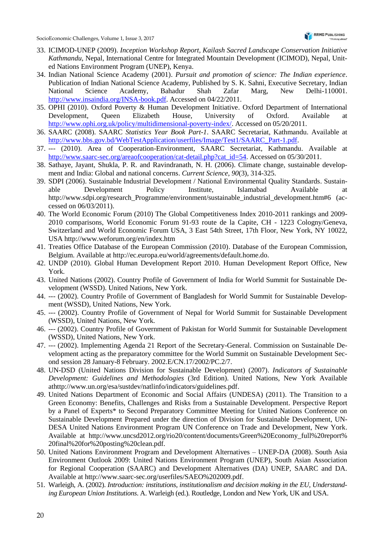- 33. ICIMOD-UNEP (2009). *Inception Workshop Report, Kailash Sacred Landscape Conservation Initiative Kathmandu*, Nepal, International Centre for Integrated Mountain Development (ICIMOD), Nepal, United Nations Environment Program (UNEP), Kenya.
- 34. Indian National Science Academy (2001). *Pursuit and promotion of science: The Indian experience*. Publication of Indian National Science Academy, Published by S. K. Sahni, Executive Secretary, Indian National Science Academy, Bahadur Shah Zafar Marg, New Delhi-110001. [http://www.insaindia.org/INSA-book.pdf.](http://www.insaindia.org/INSA-book.pdf) Accessed on 04/22/2011.
- 35. OPHI (2010). Oxford Poverty & Human Development Initiative. Oxford Department of International Development, Queen Elizabeth House, University of Oxford. Available at [http://www.ophi.org.uk/policy/multidimensional-poverty-index/.](http://www.ophi.org.uk/policy/multidimensional-poverty-index/) Accessed on 05/20/2011.
- 36. SAARC (2008). SAARC *Statistics Year Book Part-1*. SAARC Secretariat, Kathmandu. Available at [http://www.bbs.gov.bd/WebTestApplication/userfiles/Image/Test1/SAARC\\_Part-1.pdf.](http://www.bbs.gov.bd/WebTestApplication/userfiles/Image/Test1/SAARC_Part-1.pdf)
- 37. --- (2010). Area of Cooperation-Environment, SAARC Secretariat, Kathmandu. Available at [http://www.saarc-sec.org/areaofcooperation/cat-detail.php?cat\\_id=54.](http://www.saarc-sec.org/areaofcooperation/cat-detail.php?cat_id=54) Accessed on 05/30/2011.
- 38. Sathaye, Jayant, Shukla, P. R. and Ravindranath, N. H. (2006). Climate change, sustainable development and India: Global and national concerns. *Current Science*, *90*(3), 314-325.
- 39. SDPI (2006). Sustainable Industrial Development / National Environmental Quality Standards. Sustainable Development Policy Institute, Islamabad Available at http://www.sdpi.org/research\_Programme/environment/sustainable\_industrial\_development.htm#6 (accessed on 06/03/2011).
- 40. The World Economic Forum (2010) The Global Competitiveness Index 2010-2011 rankings and 2009- 2010 comparisons, World Economic Forum 91-93 route de la Capite, CH - 1223 Cologny/Geneva, Switzerland and World Economic Forum USA, 3 East 54th Street, 17th Floor, New York, NY 10022, USA http://www.weforum.org/en/index.htm
- 41. Treaties Office Database of the European Commission (2010). Database of the European Commission, Belgium. Available at http://ec.europa.eu/world/agreements/default.home.do.
- 42. UNDP (2010). Global Human Development Report 2010. Human Development Report Office, New York.
- 43. United Nations (2002). Country Profile of Government of India for World Summit for Sustainable Development (WSSD). United Nations, New York.
- 44. --- (2002). Country Profile of Government of Bangladesh for World Summit for Sustainable Development (WSSD), United Nations, New York.
- 45. --- (2002). Country Profile of Government of Nepal for World Summit for Sustainable Development (WSSD), United Nations, New York.
- 46. --- (2002). Country Profile of Government of Pakistan for World Summit for Sustainable Development (WSSD), United Nations, New York.
- 47. --- (2002). Implementing Agenda 21 Report of the Secretary-General. Commission on Sustainable Development acting as the preparatory committee for the World Summit on Sustainable Development Second session 28 January-8 February. 2002.E/CN.17/2002/PC.2/7.
- 48. UN-DSD (United Nations Division for Sustainable Development) (2007). *Indicators of Sustainable Development: Guidelines and Methodologies* (3rd Edition). United Nations, New York Available athttp://www.un.org/esa/sustdev/natlinfo/indicators/guidelines.pdf.
- 49. United Nations Department of Economic and Social Affairs (UNDESA) (2011). The Transition to a Green Economy: Benefits, Challenges and Risks from a Sustainable Development. Perspective Report by a Panel of Experts\* to Second Preparatory Committee Meeting for United Nations Conference on Sustainable Development Prepared under the direction of Division for Sustainable Development, UN-DESA United Nations Environment Program UN Conference on Trade and Development, New York. Available at http://www.uncsd2012.org/rio20/content/documents/Green%20Economy\_full%20report% 20final%20for%20posting%20clean.pdf.
- 50. United Nations Environment Program and Development Alternatives UNEP-DA (2008). South Asia Environment Outlook 2009: United Nations Environment Program (UNEP), South Asian Association for Regional Cooperation (SAARC) and Development Alternatives (DA) UNEP, SAARC and DA. Available at http://www.saarc-sec.org/userfiles/SAEO%202009.pdf.
- 51. Warleigh, A. (2002). *Introduction: institutions, institutionalism and decision making in the EU, Understanding European Union Institutions*. A. Warleigh (ed.). Routledge, London and New York, UK and USA.